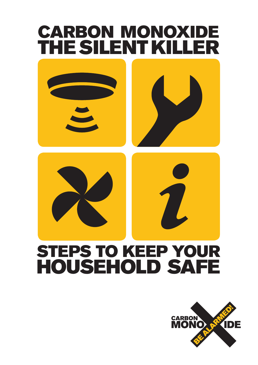# STEPS TO KEEP YOUR HOUSEHOLD SAFE CARBON MONOXIDE THE SILENT KILLER

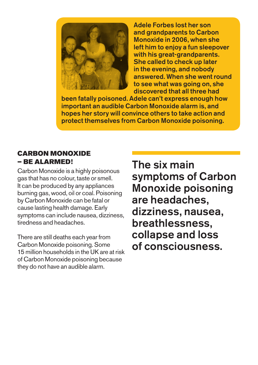

Adele Forbes lost her son and grandparents to Carbon Monoxide in 2006, when she left him to enjoy a fun sleepover with his great-grandparents. She called to check up later in the evening, and nobody answered. When she went round to see what was going on, she discovered that all three had

been fatally poisoned. Adele can't express enough how important an audible Carbon Monoxide alarm is, and hopes her story will convince others to take action and protect themselves from Carbon Monoxide poisoning.

# CARBON MONOXIDE – BE ALARMED!

Carbon Monoxide is a highly poisonous gas that has no colour, taste or smell. It can be produced by any appliances burning gas, wood, oil or coal. Poisoning by Carbon Monoxide can be fatal or cause lasting health damage. Early symptoms can include nausea, dizziness, tiredness and headaches.

There are still deaths each year from Carbon Monoxide poisoning. Some 15 million households in the UK are at risk of Carbon Monoxide poisoning because they do not have an audible alarm.

The six main symptoms of Carbon Monoxide poisoning are headaches, dizziness, nausea, breathlessness, collapse and loss of consciousness.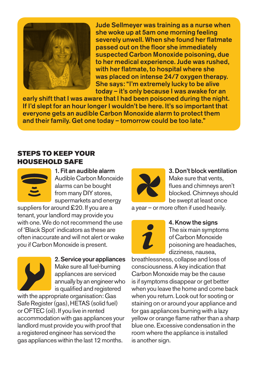

Jude Sellmeyer was training as a nurse when she woke up at 5am one morning feeling severely unwell. When she found her flatmate passed out on the floor she immediately suspected Carbon Monoxide poisoning, due to her medical experience. Jude was rushed, with her flatmate, to hospital where she was placed on intense 24/7 oxygen therapy. She says: "I'm extremely lucky to be alive today – it's only because I was awake for an

early shift that I was aware that I had been poisoned during the night. If I'd slept for an hour longer I wouldn't be here. It's so important that everyone gets an audible Carbon Monoxide alarm to protect them and their family. Get one today – tomorrow could be too late."

## STEPS TO KEEP YOUR HOUSEHOLD SAFE



1. Fit an audible alarm Audible Carbon Monoxide alarms can be bought from many DIY stores, supermarkets and energy

suppliers for around £20. If you are a tenant, your landlord may provide you with one. We do not recommend the use of 'Black Spot' indicators as these are often inaccurate and will not alert or wake you if Carbon Monoxide is present.



2. Service your appliances Make sure all fuel-burning appliances are serviced annually by an engineer who is qualified and registered

with the appropriate organisation: Gas Safe Register (gas), HETAS (solid fuel) or OFTEC (oil). If you live in rented accommodation with gas appliances your landlord must provide you with proof that a registered engineer has serviced the gas appliances within the last 12 months.



#### 3. Don't block ventilation Make sure that vents, flues and chimneys aren't blocked. Chimneys should be swept at least once

a year – or more often if used heavily.



### 4. Know the signs

The six main symptoms of Carbon Monoxide poisoning are headaches, dizziness, nausea,

breathlessness, collapse and loss of consciousness. A key indication that Carbon Monoxide may be the cause is if symptoms disappear or get better when you leave the home and come back when you return. Look out for sooting or staining on or around your appliance and for gas appliances burning with a lazy yellow or orange flame rather than a sharp blue one. Excessive condensation in the room where the appliance is installed is another sign.